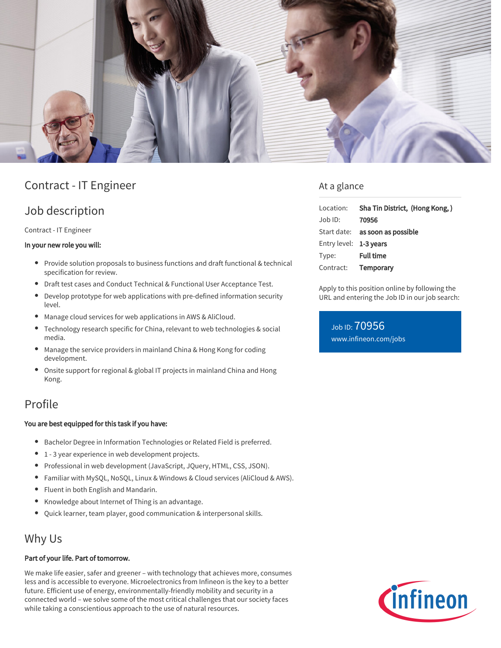

# Contract - IT Engineer

## Job description

Contract - IT Engineer

#### In your new role you will:

- Provide solution proposals to business functions and draft functional & technical specification for review.
- Draft test cases and Conduct Technical & Functional User Acceptance Test.
- Develop prototype for web applications with pre-defined information security level.
- Manage cloud services for web applications in AWS & AliCloud.
- Technology research specific for China, relevant to web technologies & social media.
- Manage the service providers in mainland China & Hong Kong for coding development.
- Onsite support for regional & global IT projects in mainland China and Hong Kong.

# Profile

#### You are best equipped for this task if you have:

- Bachelor Degree in Information Technologies or Related Field is preferred.
- 1 3 year experience in web development projects.
- Professional in web development (JavaScript, JQuery, HTML, CSS, JSON).
- Familiar with MySQL, NoSQL, Linux & Windows & Cloud services (AliCloud & AWS).
- Fluent in both English and Mandarin.
- Knowledge about Internet of Thing is an advantage.
- Quick learner, team player, good communication & interpersonal skills.

### Why Us

#### Part of your life. Part of tomorrow.

We make life easier, safer and greener – with technology that achieves more, consumes less and is accessible to everyone. Microelectronics from Infineon is the key to a better future. Efficient use of energy, environmentally-friendly mobility and security in a connected world – we solve some of the most critical challenges that our society faces while taking a conscientious approach to the use of natural resources.

### At a glance

|                        | Location: Sha Tin District, (Hong Kong,) |
|------------------------|------------------------------------------|
| Job ID:                | 70956                                    |
|                        | Start date: <b>as soon as possible</b>   |
| Entry level: 1-3 years |                                          |
| Type:                  | <b>Full time</b>                         |
|                        | Contract: Temporary                      |

Apply to this position online by following the URL and entering the Job ID in our job search:

Job ID: 70956 [www.infineon.com/jobs](https://www.infineon.com/jobs)